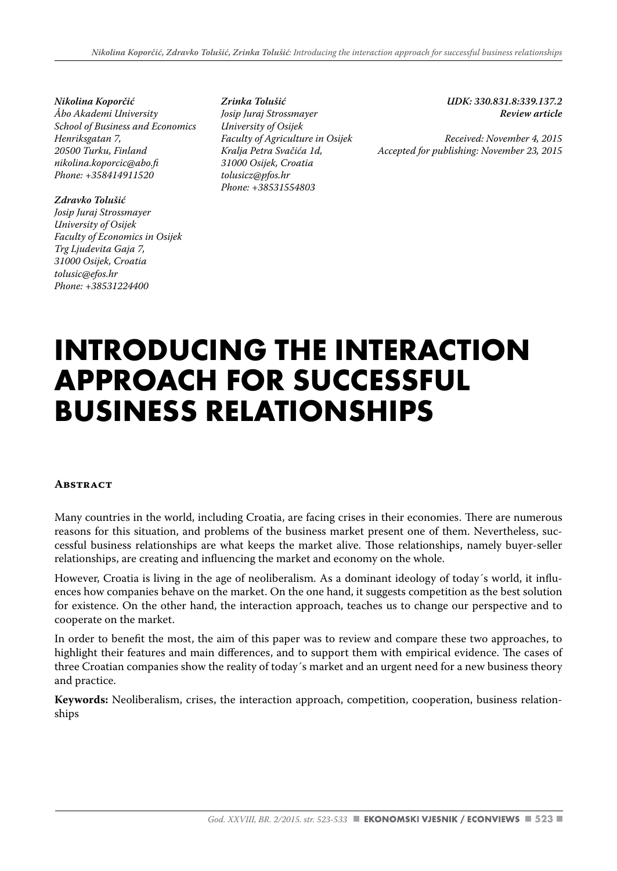*Nikolina Koporčić Åbo Akademi University School of Business and Economics Henriksgatan 7, 20500 Turku, Finland nikolina.koporcic@abo.fi Phone: +358414911520*

#### *Zdravko Tolušić*

*Josip Juraj Strossmayer University of Osijek Faculty of Economics in Osijek Trg Ljudevita Gaja 7, 31000 Osijek, Croatia tolusic@efos.hr Phone: +38531224400*

*Zrinka Tolušić Josip Juraj Strossmayer University of Osijek Faculty of Agriculture in Osijek Kralja Petra Svačića 1d, 31000 Osijek, Croatia tolusicz@pfos.hr Phone: +38531554803*

*UDK: 330.831.8:339.137.2 Review article* 

*Received: November 4, 2015 Accepted for publishing: November 23, 2015*

# **INTRODUCING THE INTERACTION APPROACH FOR SUCCESSFUL BUSINESS RELATIONSHIPS**

#### **Abstract**

Many countries in the world, including Croatia, are facing crises in their economies. There are numerous reasons for this situation, and problems of the business market present one of them. Nevertheless, successful business relationships are what keeps the market alive. Those relationships, namely buyer-seller relationships, are creating and influencing the market and economy on the whole.

However, Croatia is living in the age of neoliberalism. As a dominant ideology of today´s world, it influences how companies behave on the market. On the one hand, it suggests competition as the best solution for existence. On the other hand, the interaction approach, teaches us to change our perspective and to cooperate on the market.

In order to benefit the most, the aim of this paper was to review and compare these two approaches, to highlight their features and main differences, and to support them with empirical evidence. The cases of three Croatian companies show the reality of today´s market and an urgent need for a new business theory and practice.

**Keywords:** Neoliberalism, crises, the interaction approach, competition, cooperation, business relationships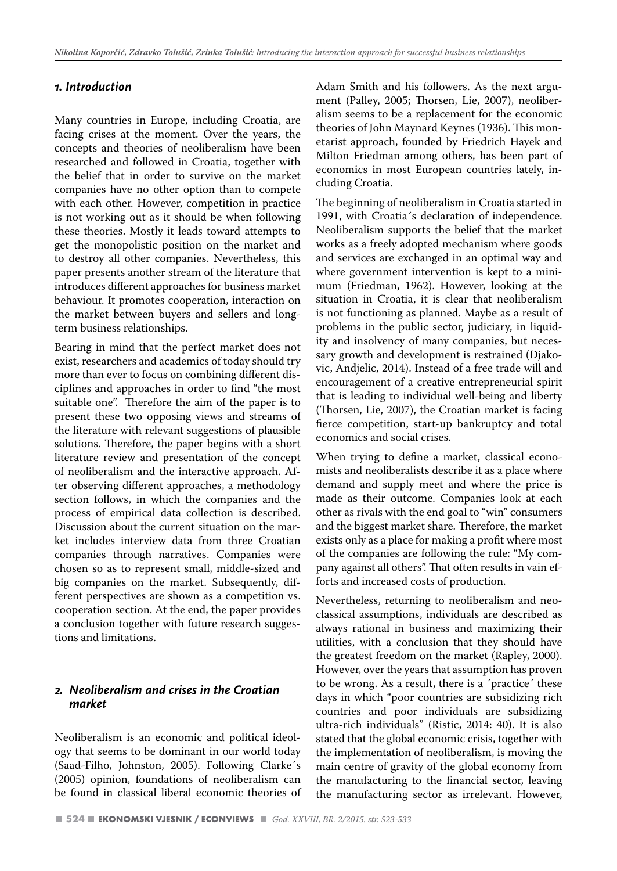### *1. Introduction*

Many countries in Europe, including Croatia, are facing crises at the moment. Over the years, the concepts and theories of neoliberalism have been researched and followed in Croatia, together with the belief that in order to survive on the market companies have no other option than to compete with each other. However, competition in practice is not working out as it should be when following these theories. Mostly it leads toward attempts to get the monopolistic position on the market and to destroy all other companies. Nevertheless, this paper presents another stream of the literature that introduces different approaches for business market behaviour. It promotes cooperation, interaction on the market between buyers and sellers and longterm business relationships.

Bearing in mind that the perfect market does not exist, researchers and academics of today should try more than ever to focus on combining different disciplines and approaches in order to find "the most suitable one". Therefore the aim of the paper is to present these two opposing views and streams of the literature with relevant suggestions of plausible solutions. Therefore, the paper begins with a short literature review and presentation of the concept of neoliberalism and the interactive approach. After observing different approaches, a methodology section follows, in which the companies and the process of empirical data collection is described. Discussion about the current situation on the market includes interview data from three Croatian companies through narratives. Companies were chosen so as to represent small, middle-sized and big companies on the market. Subsequently, different perspectives are shown as a competition vs. cooperation section. At the end, the paper provides a conclusion together with future research suggestions and limitations.

#### *2. Neoliberalism and crises in the Croatian market*

Neoliberalism is an economic and political ideology that seems to be dominant in our world today (Saad-Filho, Johnston, 2005). Following Clarke´s (2005) opinion, foundations of neoliberalism can be found in classical liberal economic theories of Adam Smith and his followers. As the next argument (Palley, 2005; Thorsen, Lie, 2007), neoliberalism seems to be a replacement for the economic theories of John Maynard Keynes (1936). This monetarist approach, founded by Friedrich Hayek and Milton Friedman among others, has been part of economics in most European countries lately, including Croatia.

The beginning of neoliberalism in Croatia started in 1991, with Croatia´s declaration of independence. Neoliberalism supports the belief that the market works as a freely adopted mechanism where goods and services are exchanged in an optimal way and where government intervention is kept to a minimum (Friedman, 1962). However, looking at the situation in Croatia, it is clear that neoliberalism is not functioning as planned. Maybe as a result of problems in the public sector, judiciary, in liquidity and insolvency of many companies, but necessary growth and development is restrained (Djakovic, Andjelic, 2014). Instead of a free trade will and encouragement of a creative entrepreneurial spirit that is leading to individual well-being and liberty (Thorsen, Lie, 2007), the Croatian market is facing fierce competition, start-up bankruptcy and total economics and social crises.

When trying to define a market, classical economists and neoliberalists describe it as a place where demand and supply meet and where the price is made as their outcome. Companies look at each other as rivals with the end goal to "win" consumers and the biggest market share. Therefore, the market exists only as a place for making a profit where most of the companies are following the rule: "My company against all others". That often results in vain efforts and increased costs of production.

Nevertheless, returning to neoliberalism and neoclassical assumptions, individuals are described as always rational in business and maximizing their utilities, with a conclusion that they should have the greatest freedom on the market (Rapley, 2000). However, over the years that assumption has proven to be wrong. As a result, there is a ´practice´ these days in which "poor countries are subsidizing rich countries and poor individuals are subsidizing ultra-rich individuals" (Ristic, 2014: 40). It is also stated that the global economic crisis, together with the implementation of neoliberalism, is moving the main centre of gravity of the global economy from the manufacturing to the financial sector, leaving the manufacturing sector as irrelevant. However,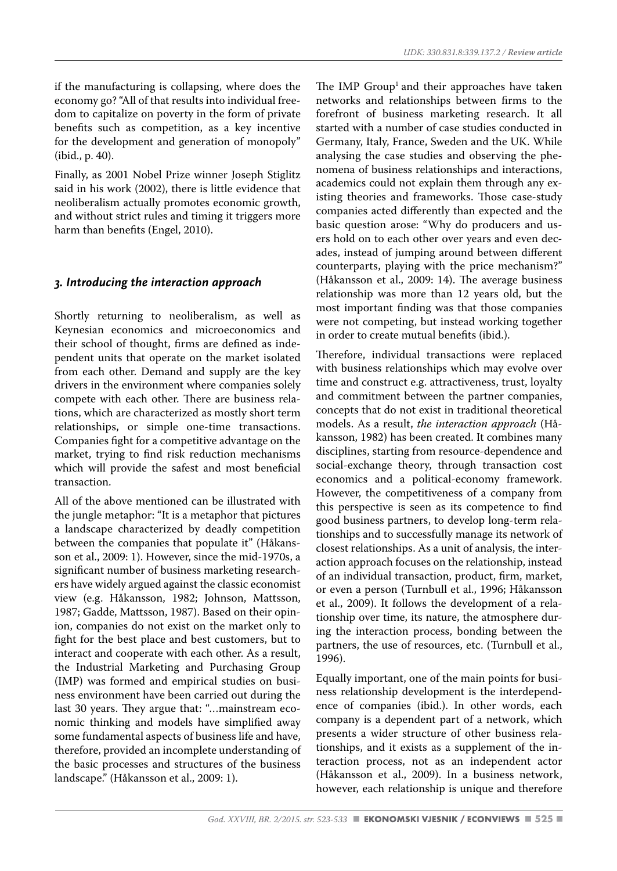if the manufacturing is collapsing, where does the economy go? "All of that results into individual freedom to capitalize on poverty in the form of private benefits such as competition, as a key incentive for the development and generation of monopoly" (ibid., p. 40).

Finally, as 2001 Nobel Prize winner Joseph Stiglitz said in his work (2002), there is little evidence that neoliberalism actually promotes economic growth, and without strict rules and timing it triggers more harm than benefits (Engel, 2010).

#### *3. Introducing the interaction approach*

Shortly returning to neoliberalism, as well as Keynesian economics and microeconomics and their school of thought, firms are defined as independent units that operate on the market isolated from each other. Demand and supply are the key drivers in the environment where companies solely compete with each other. There are business relations, which are characterized as mostly short term relationships, or simple one-time transactions. Companies fight for a competitive advantage on the market, trying to find risk reduction mechanisms which will provide the safest and most beneficial transaction.

All of the above mentioned can be illustrated with the jungle metaphor: "It is a metaphor that pictures a landscape characterized by deadly competition between the companies that populate it" (Håkansson et al., 2009: 1). However, since the mid-1970s, a significant number of business marketing researchers have widely argued against the classic economist view (e.g. Håkansson, 1982; Johnson, Mattsson, 1987; Gadde, Mattsson, 1987). Based on their opinion, companies do not exist on the market only to fight for the best place and best customers, but to interact and cooperate with each other. As a result, the Industrial Marketing and Purchasing Group (IMP) was formed and empirical studies on business environment have been carried out during the last 30 years. They argue that: "…mainstream economic thinking and models have simplified away some fundamental aspects of business life and have, therefore, provided an incomplete understanding of the basic processes and structures of the business landscape." (Håkansson et al., 2009: 1).

The IMP Group<sup>1</sup> and their approaches have taken networks and relationships between firms to the forefront of business marketing research. It all started with a number of case studies conducted in Germany, Italy, France, Sweden and the UK. While analysing the case studies and observing the phenomena of business relationships and interactions, academics could not explain them through any existing theories and frameworks. Those case-study companies acted differently than expected and the basic question arose: "Why do producers and users hold on to each other over years and even decades, instead of jumping around between different counterparts, playing with the price mechanism?" (Håkansson et al., 2009: 14). The average business relationship was more than 12 years old, but the most important finding was that those companies were not competing, but instead working together in order to create mutual benefits (ibid.).

Therefore, individual transactions were replaced with business relationships which may evolve over time and construct e.g. attractiveness, trust, loyalty and commitment between the partner companies, concepts that do not exist in traditional theoretical models. As a result, *the interaction approach* (Håkansson, 1982) has been created. It combines many disciplines, starting from resource-dependence and social-exchange theory, through transaction cost economics and a political-economy framework. However, the competitiveness of a company from this perspective is seen as its competence to find good business partners, to develop long-term relationships and to successfully manage its network of closest relationships. As a unit of analysis, the interaction approach focuses on the relationship, instead of an individual transaction, product, firm, market, or even a person (Turnbull et al., 1996; Håkansson et al., 2009). It follows the development of a relationship over time, its nature, the atmosphere during the interaction process, bonding between the partners, the use of resources, etc. (Turnbull et al., 1996).

Equally important, one of the main points for business relationship development is the interdependence of companies (ibid.). In other words, each company is a dependent part of a network, which presents a wider structure of other business relationships, and it exists as a supplement of the interaction process, not as an independent actor (Håkansson et al., 2009). In a business network, however, each relationship is unique and therefore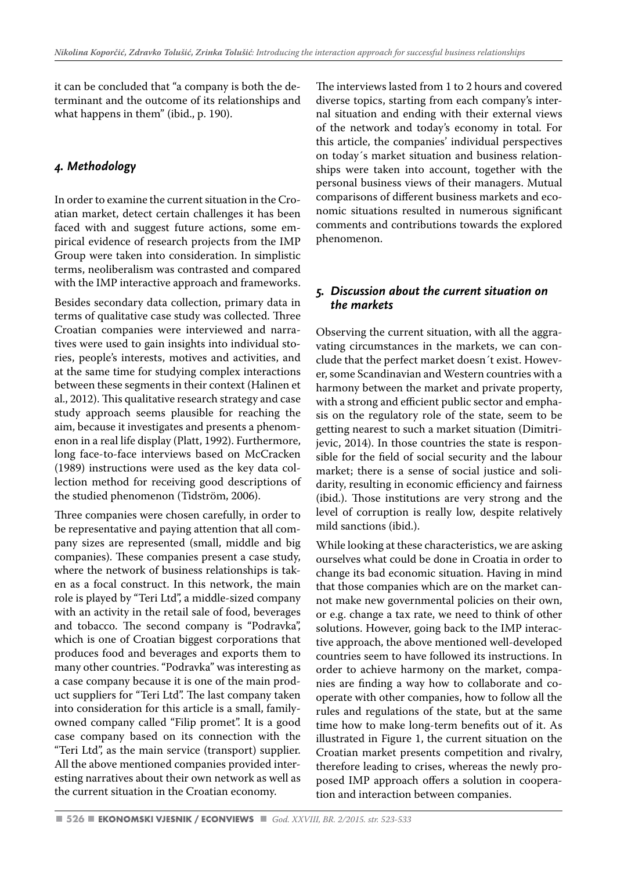it can be concluded that "a company is both the determinant and the outcome of its relationships and what happens in them" (ibid., p. 190).

## *4. Methodology*

In order to examine the current situation in the Croatian market, detect certain challenges it has been faced with and suggest future actions, some empirical evidence of research projects from the IMP Group were taken into consideration. In simplistic terms, neoliberalism was contrasted and compared with the IMP interactive approach and frameworks.

Besides secondary data collection, primary data in terms of qualitative case study was collected. Three Croatian companies were interviewed and narratives were used to gain insights into individual stories, people's interests, motives and activities, and at the same time for studying complex interactions between these segments in their context (Halinen et al., 2012). This qualitative research strategy and case study approach seems plausible for reaching the aim, because it investigates and presents a phenomenon in a real life display (Platt, 1992). Furthermore, long face-to-face interviews based on McCracken (1989) instructions were used as the key data collection method for receiving good descriptions of the studied phenomenon (Tidström, 2006).

Three companies were chosen carefully, in order to be representative and paying attention that all company sizes are represented (small, middle and big companies). These companies present a case study, where the network of business relationships is taken as a focal construct. In this network, the main role is played by "Teri Ltd", a middle-sized company with an activity in the retail sale of food, beverages and tobacco. The second company is "Podravka", which is one of Croatian biggest corporations that produces food and beverages and exports them to many other countries. "Podravka" was interesting as a case company because it is one of the main product suppliers for "Teri Ltd". The last company taken into consideration for this article is a small, familyowned company called "Filip promet". It is a good case company based on its connection with the "Teri Ltd", as the main service (transport) supplier. All the above mentioned companies provided interesting narratives about their own network as well as the current situation in the Croatian economy.

The interviews lasted from 1 to 2 hours and covered diverse topics, starting from each company's internal situation and ending with their external views of the network and today's economy in total. For this article, the companies' individual perspectives on today´s market situation and business relationships were taken into account, together with the personal business views of their managers. Mutual comparisons of different business markets and economic situations resulted in numerous significant comments and contributions towards the explored phenomenon.

## *5. Discussion about the current situation on the markets*

Observing the current situation, with all the aggravating circumstances in the markets, we can conclude that the perfect market doesn´t exist. However, some Scandinavian and Western countries with a harmony between the market and private property, with a strong and efficient public sector and emphasis on the regulatory role of the state, seem to be getting nearest to such a market situation (Dimitrijevic, 2014). In those countries the state is responsible for the field of social security and the labour market; there is a sense of social justice and solidarity, resulting in economic efficiency and fairness (ibid.). Those institutions are very strong and the level of corruption is really low, despite relatively mild sanctions (ibid.).

While looking at these characteristics, we are asking ourselves what could be done in Croatia in order to change its bad economic situation. Having in mind that those companies which are on the market cannot make new governmental policies on their own, or e.g. change a tax rate, we need to think of other solutions. However, going back to the IMP interactive approach, the above mentioned well-developed countries seem to have followed its instructions. In order to achieve harmony on the market, companies are finding a way how to collaborate and cooperate with other companies, how to follow all the rules and regulations of the state, but at the same time how to make long-term benefits out of it. As illustrated in Figure 1, the current situation on the Croatian market presents competition and rivalry, therefore leading to crises, whereas the newly proposed IMP approach offers a solution in cooperation and interaction between companies.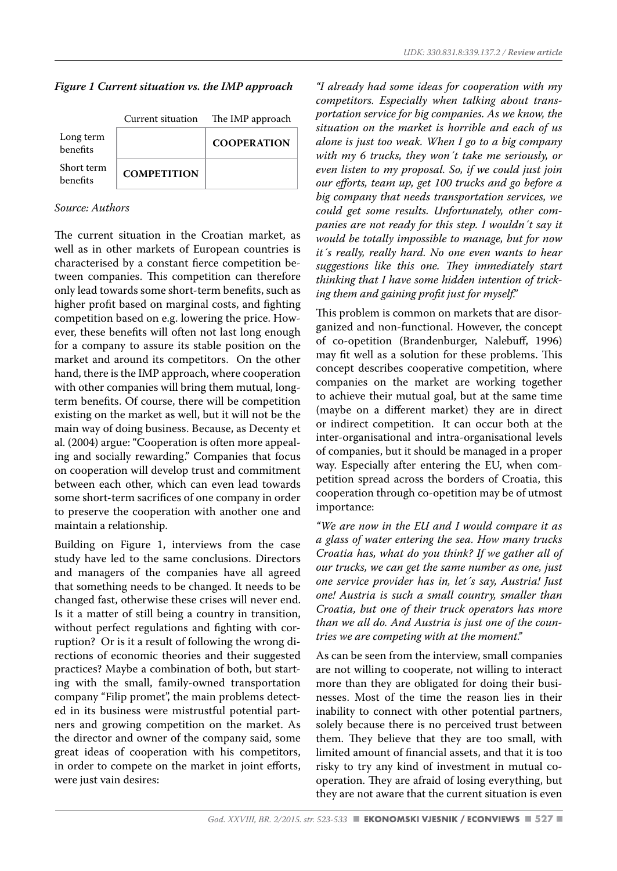#### *Figure 1 Current situation vs. the IMP approach*

|                        | Current situation  | The IMP approach   |
|------------------------|--------------------|--------------------|
| Long term<br>benefits  |                    | <b>COOPERATION</b> |
| Short term<br>benefits | <b>COMPETITION</b> |                    |

## *Source: Authors*

The current situation in the Croatian market, as well as in other markets of European countries is characterised by a constant fierce competition between companies. This competition can therefore only lead towards some short-term benefits, such as higher profit based on marginal costs, and fighting competition based on e.g. lowering the price. However, these benefits will often not last long enough for a company to assure its stable position on the market and around its competitors. On the other hand, there is the IMP approach, where cooperation with other companies will bring them mutual, longterm benefits. Of course, there will be competition existing on the market as well, but it will not be the main way of doing business. Because, as Decenty et al. (2004) argue: "Cooperation is often more appealing and socially rewarding." Companies that focus on cooperation will develop trust and commitment between each other, which can even lead towards some short-term sacrifices of one company in order to preserve the cooperation with another one and maintain a relationship.

Building on Figure 1, interviews from the case study have led to the same conclusions. Directors and managers of the companies have all agreed that something needs to be changed. It needs to be changed fast, otherwise these crises will never end. Is it a matter of still being a country in transition, without perfect regulations and fighting with corruption? Or is it a result of following the wrong directions of economic theories and their suggested practices? Maybe a combination of both, but starting with the small, family-owned transportation company "Filip promet", the main problems detected in its business were mistrustful potential partners and growing competition on the market. As the director and owner of the company said, some great ideas of cooperation with his competitors, in order to compete on the market in joint efforts, were just vain desires:

*"I already had some ideas for cooperation with my competitors. Especially when talking about transportation service for big companies. As we know, the situation on the market is horrible and each of us alone is just too weak. When I go to a big company with my 6 trucks, they won´t take me seriously, or even listen to my proposal. So, if we could just join our efforts, team up, get 100 trucks and go before a big company that needs transportation services, we could get some results. Unfortunately, other companies are not ready for this step. I wouldn´t say it would be totally impossible to manage, but for now it´s really, really hard. No one even wants to hear suggestions like this one. They immediately start thinking that I have some hidden intention of tricking them and gaining profit just for myself."*

This problem is common on markets that are disorganized and non-functional. However, the concept of co-opetition (Brandenburger, Nalebuff, 1996) may fit well as a solution for these problems. This concept describes cooperative competition, where companies on the market are working together to achieve their mutual goal, but at the same time (maybe on a different market) they are in direct or indirect competition. It can occur both at the inter-organisational and intra-organisational levels of companies, but it should be managed in a proper way. Especially after entering the EU, when competition spread across the borders of Croatia, this cooperation through co-opetition may be of utmost importance:

*"We are now in the EU and I would compare it as a glass of water entering the sea. How many trucks Croatia has, what do you think? If we gather all of our trucks, we can get the same number as one, just one service provider has in, let´s say, Austria! Just one! Austria is such a small country, smaller than Croatia, but one of their truck operators has more than we all do. And Austria is just one of the countries we are competing with at the moment."*

As can be seen from the interview, small companies are not willing to cooperate, not willing to interact more than they are obligated for doing their businesses. Most of the time the reason lies in their inability to connect with other potential partners, solely because there is no perceived trust between them. They believe that they are too small, with limited amount of financial assets, and that it is too risky to try any kind of investment in mutual cooperation. They are afraid of losing everything, but they are not aware that the current situation is even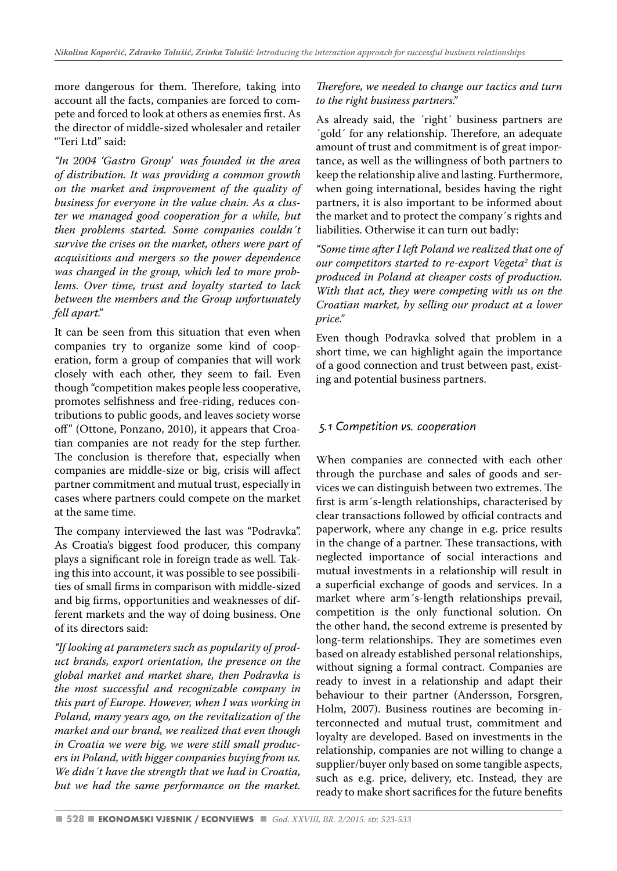more dangerous for them. Therefore, taking into account all the facts, companies are forced to compete and forced to look at others as enemies first. As the director of middle-sized wholesaler and retailer "Teri Ltd" said:

*"In 2004 'Gastro Group' was founded in the area of distribution. It was providing a common growth on the market and improvement of the quality of business for everyone in the value chain. As a cluster we managed good cooperation for a while, but then problems started. Some companies couldn´t survive the crises on the market, others were part of acquisitions and mergers so the power dependence was changed in the group, which led to more problems. Over time, trust and loyalty started to lack between the members and the Group unfortunately fell apart."*

It can be seen from this situation that even when companies try to organize some kind of cooperation, form a group of companies that will work closely with each other, they seem to fail. Even though "competition makes people less cooperative, promotes selfishness and free-riding, reduces contributions to public goods, and leaves society worse off" (Ottone, Ponzano, 2010), it appears that Croatian companies are not ready for the step further. The conclusion is therefore that, especially when companies are middle-size or big, crisis will affect partner commitment and mutual trust, especially in cases where partners could compete on the market at the same time.

The company interviewed the last was "Podravka". As Croatia's biggest food producer, this company plays a significant role in foreign trade as well. Taking this into account, it was possible to see possibilities of small firms in comparison with middle-sized and big firms, opportunities and weaknesses of different markets and the way of doing business. One of its directors said:

*"If looking at parameters such as popularity of product brands, export orientation, the presence on the global market and market share, then Podravka is the most successful and recognizable company in this part of Europe. However, when I was working in Poland, many years ago, on the revitalization of the market and our brand, we realized that even though in Croatia we were big, we were still small producers in Poland, with bigger companies buying from us. We didn´t have the strength that we had in Croatia, but we had the same performance on the market.* 

## *Therefore, we needed to change our tactics and turn to the right business partners."*

As already said, the ´right´ business partners are ´gold´ for any relationship. Therefore, an adequate amount of trust and commitment is of great importance, as well as the willingness of both partners to keep the relationship alive and lasting. Furthermore, when going international, besides having the right partners, it is also important to be informed about the market and to protect the company´s rights and liabilities. Otherwise it can turn out badly:

*"Some time after I left Poland we realized that one of our competitors started to re-export Vegeta2 that is produced in Poland at cheaper costs of production. With that act, they were competing with us on the Croatian market, by selling our product at a lower price."*

Even though Podravka solved that problem in a short time, we can highlight again the importance of a good connection and trust between past, existing and potential business partners.

## *5.1 Competition vs. cooperation*

When companies are connected with each other through the purchase and sales of goods and services we can distinguish between two extremes. The first is arm´s-length relationships, characterised by clear transactions followed by official contracts and paperwork, where any change in e.g. price results in the change of a partner. These transactions, with neglected importance of social interactions and mutual investments in a relationship will result in a superficial exchange of goods and services. In a market where arm´s-length relationships prevail, competition is the only functional solution. On the other hand, the second extreme is presented by long-term relationships. They are sometimes even based on already established personal relationships, without signing a formal contract. Companies are ready to invest in a relationship and adapt their behaviour to their partner (Andersson, Forsgren, Holm, 2007). Business routines are becoming interconnected and mutual trust, commitment and loyalty are developed. Based on investments in the relationship, companies are not willing to change a supplier/buyer only based on some tangible aspects, such as e.g. price, delivery, etc. Instead, they are ready to make short sacrifices for the future benefits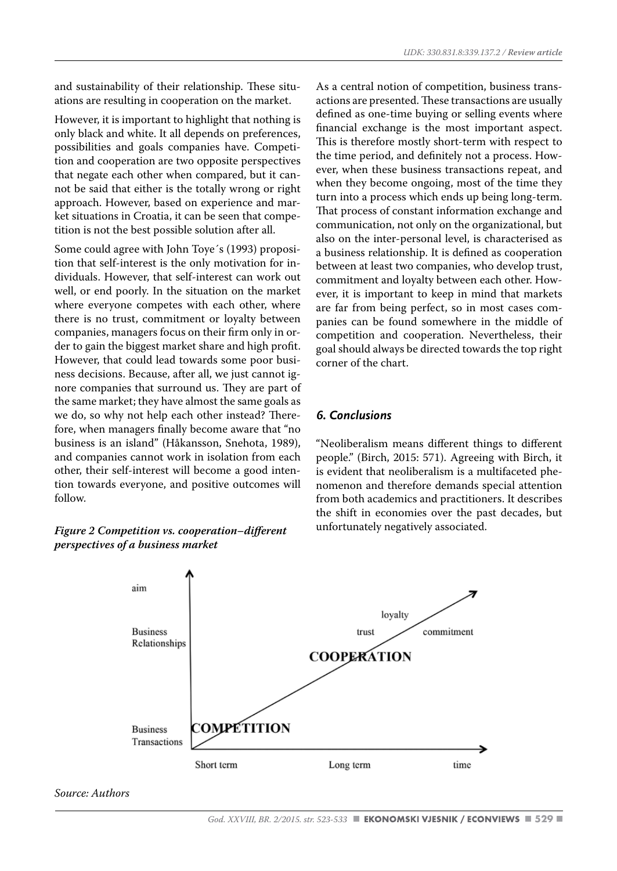and sustainability of their relationship. These situations are resulting in cooperation on the market.

However, it is important to highlight that nothing is only black and white. It all depends on preferences, possibilities and goals companies have. Competition and cooperation are two opposite perspectives that negate each other when compared, but it cannot be said that either is the totally wrong or right approach. However, based on experience and market situations in Croatia, it can be seen that competition is not the best possible solution after all.

Some could agree with John Toye´s (1993) proposition that self-interest is the only motivation for individuals. However, that self-interest can work out well, or end poorly. In the situation on the market where everyone competes with each other, where there is no trust, commitment or loyalty between companies, managers focus on their firm only in order to gain the biggest market share and high profit. However, that could lead towards some poor business decisions. Because, after all, we just cannot ignore companies that surround us. They are part of the same market; they have almost the same goals as we do, so why not help each other instead? Therefore, when managers finally become aware that "no business is an island" (Håkansson, Snehota, 1989), and companies cannot work in isolation from each other, their self-interest will become a good intention towards everyone, and positive outcomes will follow.

#### *Figure 2 Competition vs. cooperation–different perspectives of a business market*

As a central notion of competition, business transactions are presented. These transactions are usually defined as one-time buying or selling events where financial exchange is the most important aspect. This is therefore mostly short-term with respect to the time period, and definitely not a process. However, when these business transactions repeat, and when they become ongoing, most of the time they turn into a process which ends up being long-term. That process of constant information exchange and communication, not only on the organizational, but also on the inter-personal level, is characterised as a business relationship. It is defined as cooperation between at least two companies, who develop trust, commitment and loyalty between each other. However, it is important to keep in mind that markets are far from being perfect, so in most cases companies can be found somewhere in the middle of competition and cooperation. Nevertheless, their goal should always be directed towards the top right corner of the chart.

#### *6. Conclusions*

"Neoliberalism means different things to different people." (Birch, 2015: 571). Agreeing with Birch, it is evident that neoliberalism is a multifaceted phenomenon and therefore demands special attention from both academics and practitioners. It describes the shift in economies over the past decades, but unfortunately negatively associated.



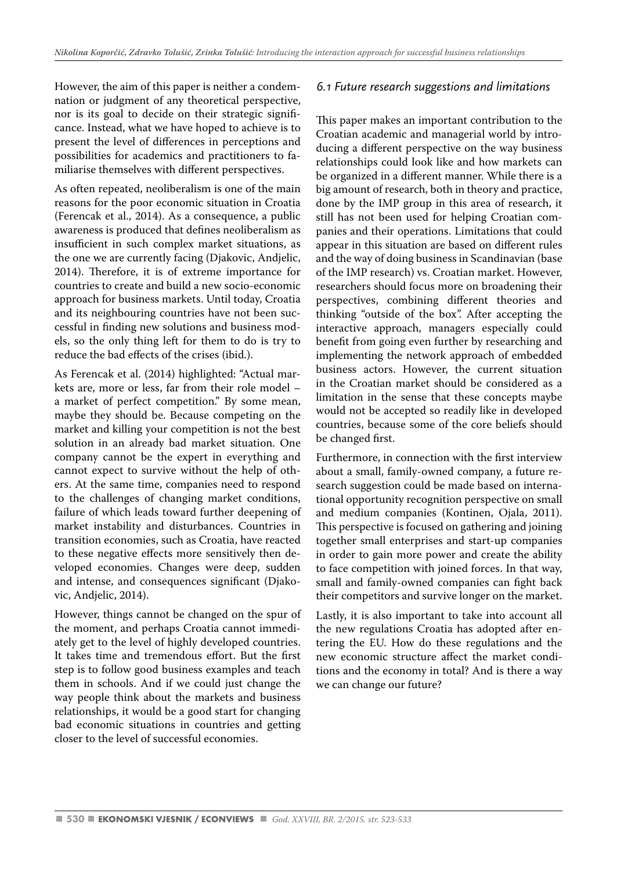However, the aim of this paper is neither a condemnation or judgment of any theoretical perspective, nor is its goal to decide on their strategic significance. Instead, what we have hoped to achieve is to present the level of differences in perceptions and possibilities for academics and practitioners to familiarise themselves with different perspectives.

As often repeated, neoliberalism is one of the main reasons for the poor economic situation in Croatia (Ferencak et al., 2014). As a consequence, a public awareness is produced that defines neoliberalism as insufficient in such complex market situations, as the one we are currently facing (Djakovic, Andjelic, 2014). Therefore, it is of extreme importance for countries to create and build a new socio-economic approach for business markets. Until today, Croatia and its neighbouring countries have not been successful in finding new solutions and business models, so the only thing left for them to do is try to reduce the bad effects of the crises (ibid.).

As Ferencak et al. (2014) highlighted: "Actual markets are, more or less, far from their role model – a market of perfect competition." By some mean, maybe they should be. Because competing on the market and killing your competition is not the best solution in an already bad market situation. One company cannot be the expert in everything and cannot expect to survive without the help of others. At the same time, companies need to respond to the challenges of changing market conditions, failure of which leads toward further deepening of market instability and disturbances. Countries in transition economies, such as Croatia, have reacted to these negative effects more sensitively then developed economies. Changes were deep, sudden and intense, and consequences significant (Djakovic, Andjelic, 2014).

However, things cannot be changed on the spur of the moment, and perhaps Croatia cannot immediately get to the level of highly developed countries. It takes time and tremendous effort. But the first step is to follow good business examples and teach them in schools. And if we could just change the way people think about the markets and business relationships, it would be a good start for changing bad economic situations in countries and getting closer to the level of successful economies.

#### *6.1 Future research suggestions and limitations*

This paper makes an important contribution to the Croatian academic and managerial world by introducing a different perspective on the way business relationships could look like and how markets can be organized in a different manner. While there is a big amount of research, both in theory and practice, done by the IMP group in this area of research, it still has not been used for helping Croatian companies and their operations. Limitations that could appear in this situation are based on different rules and the way of doing business in Scandinavian (base of the IMP research) vs. Croatian market. However, researchers should focus more on broadening their perspectives, combining different theories and thinking "outside of the box". After accepting the interactive approach, managers especially could benefit from going even further by researching and implementing the network approach of embedded business actors. However, the current situation in the Croatian market should be considered as a limitation in the sense that these concepts maybe would not be accepted so readily like in developed countries, because some of the core beliefs should be changed first.

Furthermore, in connection with the first interview about a small, family-owned company, a future research suggestion could be made based on international opportunity recognition perspective on small and medium companies (Kontinen, Ojala, 2011). This perspective is focused on gathering and joining together small enterprises and start-up companies in order to gain more power and create the ability to face competition with joined forces. In that way, small and family-owned companies can fight back their competitors and survive longer on the market.

Lastly, it is also important to take into account all the new regulations Croatia has adopted after entering the EU. How do these regulations and the new economic structure affect the market conditions and the economy in total? And is there a way we can change our future?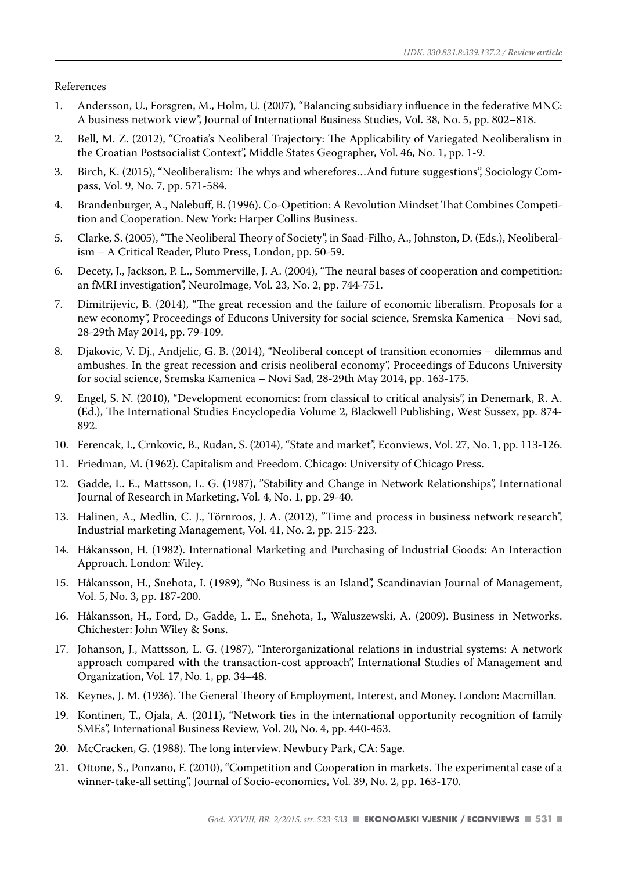References

- 1. Andersson, U., Forsgren, M., Holm, U. (2007), "Balancing subsidiary influence in the federative MNC: A business network view", Journal of International Business Studies, Vol. 38, No. 5, pp. 802–818.
- 2. Bell, M. Z. (2012), "Croatia's Neoliberal Trajectory: The Applicability of Variegated Neoliberalism in the Croatian Postsocialist Context", Middle States Geographer, Vol. 46, No. 1, pp. 1-9.
- 3. Birch, K. (2015), "Neoliberalism: The whys and wherefores…And future suggestions", Sociology Compass, Vol. 9, No. 7, pp. 571-584.
- 4. Brandenburger, A., Nalebuff, B. (1996). Co-Opetition: A Revolution Mindset That Combines Competition and Cooperation. New York: Harper Collins Business.
- 5. Clarke, S. (2005), "The Neoliberal Theory of Society", in Saad-Filho, A., Johnston, D. (Eds.), Neoliberalism – A Critical Reader, Pluto Press, London, pp. 50-59.
- 6. Decety, J., Jackson, P. L., Sommerville, J. A. (2004), "The neural bases of cooperation and competition: an fMRI investigation", NeuroImage, Vol. 23, No. 2, pp. 744-751.
- 7. Dimitrijevic, B. (2014), "The great recession and the failure of economic liberalism. Proposals for a new economy", Proceedings of Educons University for social science, Sremska Kamenica – Novi sad, 28-29th May 2014, pp. 79-109.
- 8. Djakovic, V. Dj., Andjelic, G. B. (2014), "Neoliberal concept of transition economies dilemmas and ambushes. In the great recession and crisis neoliberal economy", Proceedings of Educons University for social science, Sremska Kamenica – Novi Sad, 28-29th May 2014, pp. 163-175.
- 9. Engel, S. N. (2010), "Development economics: from classical to critical analysis", in Denemark, R. A. (Ed.), The International Studies Encyclopedia Volume 2, Blackwell Publishing, West Sussex, pp. 874- 892.
- 10. Ferencak, I., Crnkovic, B., Rudan, S. (2014), "State and market", Econviews, Vol. 27, No. 1, pp. 113-126.
- 11. Friedman, M. (1962). Capitalism and Freedom. Chicago: University of Chicago Press.
- 12. Gadde, L. E., Mattsson, L. G. (1987), "Stability and Change in Network Relationships", International Journal of Research in Marketing, Vol. 4, No. 1, pp. 29-40.
- 13. Halinen, A., Medlin, C. J., Törnroos, J. A. (2012), "Time and process in business network research", Industrial marketing Management, Vol. 41, No. 2, pp. 215-223.
- 14. Håkansson, H. (1982). International Marketing and Purchasing of Industrial Goods: An Interaction Approach. London: Wiley.
- 15. Håkansson, H., Snehota, I. (1989), "No Business is an Island", Scandinavian Journal of Management, Vol. 5, No. 3, pp. 187-200.
- 16. Håkansson, H., Ford, D., Gadde, L. E., Snehota, I., Waluszewski, A. (2009). Business in Networks. Chichester: John Wiley & Sons.
- 17. Johanson, J., Mattsson, L. G. (1987), "Interorganizational relations in industrial systems: A network approach compared with the transaction-cost approach", International Studies of Management and Organization, Vol. 17, No. 1, pp. 34–48.
- 18. Keynes, J. M. (1936). The General Theory of Employment, Interest, and Money. London: Macmillan.
- 19. Kontinen, T., Ojala, A. (2011), "Network ties in the international opportunity recognition of family SMEs", International Business Review, Vol. 20, No. 4, pp. 440-453.
- 20. McCracken, G. (1988). The long interview. Newbury Park, CA: Sage.
- 21. Ottone, S., Ponzano, F. (2010), "Competition and Cooperation in markets. The experimental case of a winner-take-all setting", Journal of Socio-economics, Vol. 39, No. 2, pp. 163-170.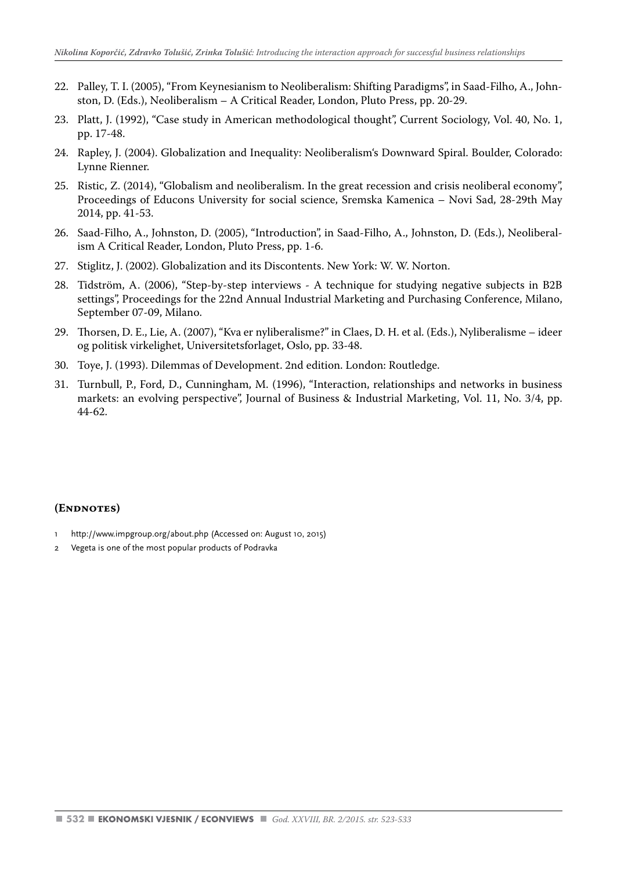- 22. Palley, T. I. (2005), "From Keynesianism to Neoliberalism: Shifting Paradigms", in Saad-Filho, A., Johnston, D. (Eds.), Neoliberalism – A Critical Reader, London, Pluto Press, pp. 20-29.
- 23. Platt, J. (1992), "Case study in American methodological thought", Current Sociology, Vol. 40, No. 1, pp. 17-48.
- 24. Rapley, J. (2004). Globalization and Inequality: Neoliberalism's Downward Spiral. Boulder, Colorado: Lynne Rienner.
- 25. Ristic, Z. (2014), "Globalism and neoliberalism. In the great recession and crisis neoliberal economy", Proceedings of Educons University for social science, Sremska Kamenica – Novi Sad, 28-29th May 2014, pp. 41-53.
- 26. Saad-Filho, A., Johnston, D. (2005), "Introduction", in Saad-Filho, A., Johnston, D. (Eds.), Neoliberalism A Critical Reader, London, Pluto Press, pp. 1-6.
- 27. Stiglitz, J. (2002). Globalization and its Discontents. New York: W. W. Norton.
- 28. Tidström, A. (2006), "Step-by-step interviews A technique for studying negative subjects in B2B settings", Proceedings for the 22nd Annual Industrial Marketing and Purchasing Conference, Milano, September 07-09, Milano.
- 29. Thorsen, D. E., Lie, A. (2007), "Kva er nyliberalisme?" in Claes, D. H. et al. (Eds.), Nyliberalisme ideer og politisk virkelighet, Universitetsforlaget, Oslo, pp. 33-48.
- 30. Toye, J. (1993). Dilemmas of Development. 2nd edition. London: Routledge.
- 31. Turnbull, P., Ford, D., Cunningham, M. (1996), "Interaction, relationships and networks in business markets: an evolving perspective", Journal of Business & Industrial Marketing, Vol. 11, No. 3/4, pp. 44-62.

#### **(Endnotes)**

- http://www.impgroup.org/about.php (Accessed on: August 10, 2015)
- 2 Vegeta is one of the most popular products of Podravka